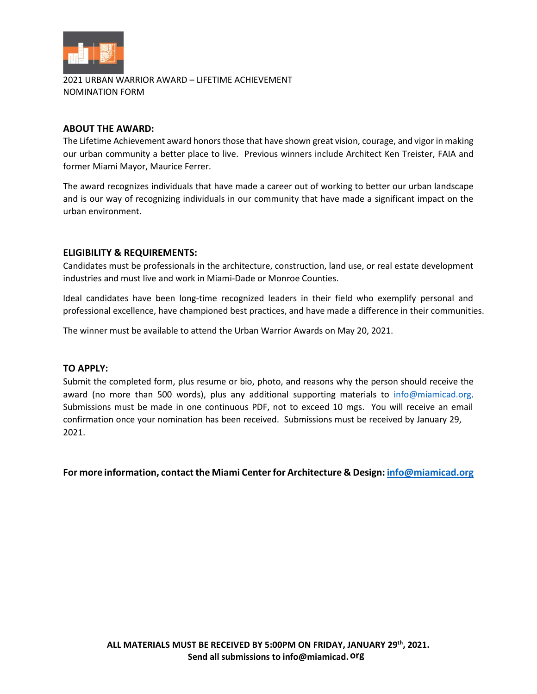

2021 URBAN WARRIOR AWARD – LIFETIME ACHIEVEMENT NOMINATION FORM

## **ABOUT THE AWARD:**

The Lifetime Achievement award honors those that have shown great vision, courage, and vigor in making our urban community a better place to live. Previous winners include Architect Ken Treister, FAIA and former Miami Mayor, Maurice Ferrer.

The award recognizes individuals that have made a career out of working to better our urban landscape and is our way of recognizing individuals in our community that have made a significant impact on the urban environment.

# **ELIGIBILITY & REQUIREMENTS:**

Candidates must be professionals in the architecture, construction, land use, or real estate development industries and must live and work in Miami-Dade or Monroe Counties.

Ideal candidates have been long-time recognized leaders in their field who exemplify personal and professional excellence, have championed best practices, and have made a difference in their communities.

The winner must be available to attend the Urban Warrior Awards on May 20, 2021.

# **TO APPLY:**

Submit the completed form, plus resume or bio, photo, and reasons why the person should receive the award (no more than 500 words), plus any additional supporting materials to [info@miamicad.org.](mailto:info@miamicad.org) Submissions must be made in one continuous PDF, not to exceed 10 mgs. You will receive an email confirmation once your nomination has been received. Submissions must be received by January 29, 2021.

**For more information, contact the Miami Center for Architecture & Design[: info@miamicad.org](mailto:info@miamicad.org)**